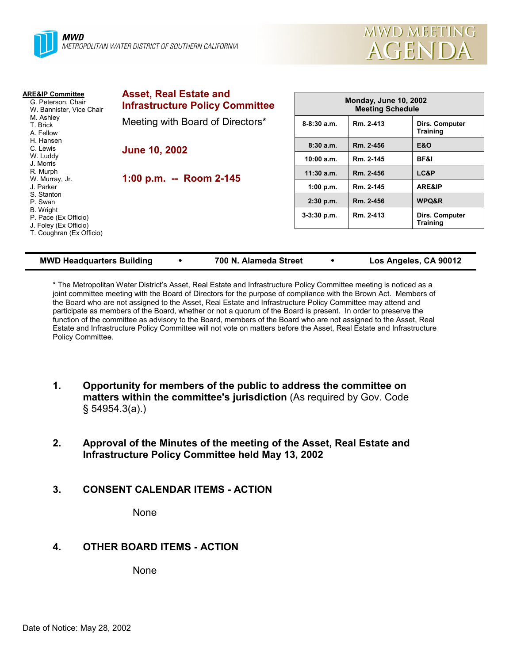

| <b>ARE&amp;IP Committee</b><br>G. Peterson, Chair<br>W. Bannister, Vice Chair<br>M. Ashley<br>T. Brick<br>A. Fellow | <b>Asset, Real Estate and</b><br><b>Infrastructure Policy Committee</b> | <b>Monday, June 10, 2002</b><br><b>Meeting Schedule</b> |           |                                   |
|---------------------------------------------------------------------------------------------------------------------|-------------------------------------------------------------------------|---------------------------------------------------------|-----------|-----------------------------------|
|                                                                                                                     | Meeting with Board of Directors*                                        | $8-8:30$ a.m.                                           | Rm. 2-413 | Dirs. Computer<br>Training        |
| H. Hansen<br>C. Lewis                                                                                               | <b>June 10, 2002</b>                                                    | 8:30a.m.                                                | Rm. 2-456 | <b>E&amp;O</b>                    |
| W. Luddy<br>J. Morris                                                                                               |                                                                         | 10:00 a.m.                                              | Rm. 2-145 | BF&I                              |
| R. Murph                                                                                                            | 1:00 p.m. -- Room 2-145                                                 | $11:30$ a.m.                                            | Rm. 2-456 | LC&P                              |
| W. Murray, Jr.<br>J. Parker                                                                                         |                                                                         | 1:00 p.m.                                               | Rm. 2-145 | ARE&IP                            |
| S. Stanton<br>P. Swan                                                                                               |                                                                         | 2:30 p.m.                                               | Rm. 2-456 | WPQ&R                             |
| B. Wright<br>P. Pace (Ex Officio)<br>J. Foley (Ex Officio)                                                          |                                                                         | $3-3:30$ p.m.                                           | Rm. 2-413 | Dirs. Computer<br><b>Training</b> |
| T. Coughran (Ex Officio)                                                                                            |                                                                         |                                                         |           |                                   |

#### **MWD Headquarters Building** y **700 N. Alameda Street** y **Los Angeles, CA 90012**

\* The Metropolitan Water District's Asset, Real Estate and Infrastructure Policy Committee meeting is noticed as a joint committee meeting with the Board of Directors for the purpose of compliance with the Brown Act. Members of the Board who are not assigned to the Asset, Real Estate and Infrastructure Policy Committee may attend and participate as members of the Board, whether or not a quorum of the Board is present. In order to preserve the function of the committee as advisory to the Board, members of the Board who are not assigned to the Asset, Real Estate and Infrastructure Policy Committee will not vote on matters before the Asset, Real Estate and Infrastructure Policy Committee.

- **1. Opportunity for members of the public to address the committee on matters within the committee's jurisdiction** (As required by Gov. Code § 54954.3(a).)
- **2. Approval of the Minutes of the meeting of the Asset, Real Estate and Infrastructure Policy Committee held May 13, 2002**
- **3. CONSENT CALENDAR ITEMS ACTION**

None

# **4. OTHER BOARD ITEMS - ACTION**

None